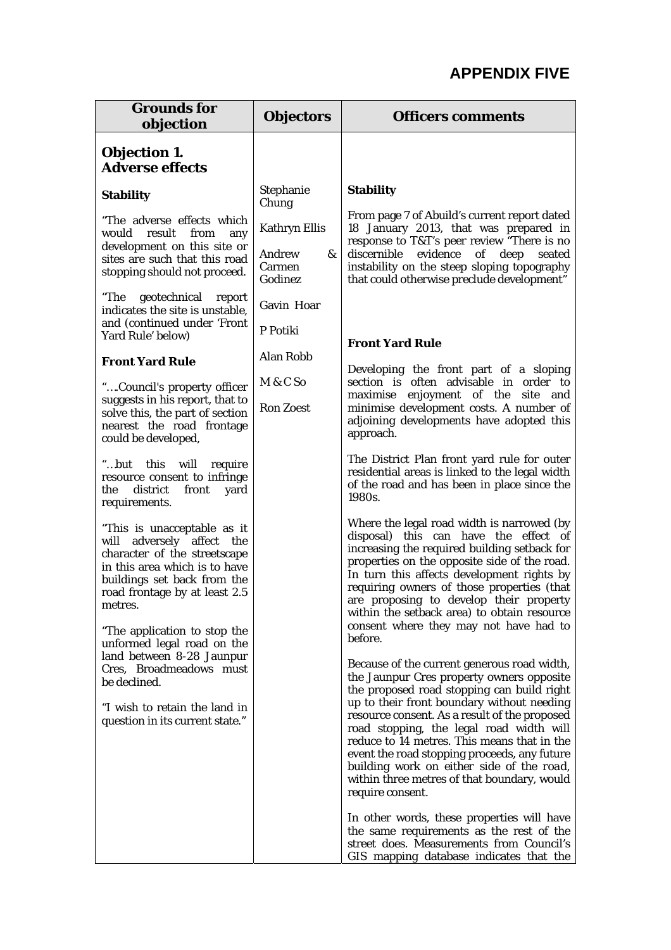## **APPENDIX FIVE**

| <b>Grounds for</b><br>objection                                                                                                                                                                        | <b>Objectors</b>                                         | <b>Officers comments</b>                                                                                                                                                                                                                                                                                                                                                                                                                                                                                                                              |
|--------------------------------------------------------------------------------------------------------------------------------------------------------------------------------------------------------|----------------------------------------------------------|-------------------------------------------------------------------------------------------------------------------------------------------------------------------------------------------------------------------------------------------------------------------------------------------------------------------------------------------------------------------------------------------------------------------------------------------------------------------------------------------------------------------------------------------------------|
| <b>Objection 1.</b><br><b>Adverse effects</b>                                                                                                                                                          |                                                          |                                                                                                                                                                                                                                                                                                                                                                                                                                                                                                                                                       |
| <b>Stability</b>                                                                                                                                                                                       | Stephanie<br>Chung                                       | <b>Stability</b>                                                                                                                                                                                                                                                                                                                                                                                                                                                                                                                                      |
| "The adverse effects which<br>would result from<br>any<br>development on this site or<br>sites are such that this road<br>stopping should not proceed.                                                 | <b>Kathryn Ellis</b><br>Andrew<br>&<br>Carmen<br>Godinez | From page 7 of Abuild's current report dated<br>18 January 2013, that was prepared in<br>response to T&T's peer review "There is no<br>discernible evidence of deep seated<br>instability on the steep sloping topography<br>that could otherwise preclude development"                                                                                                                                                                                                                                                                               |
| "The geotechnical<br>report<br>indicates the site is unstable,<br>and (continued under 'Front<br>Yard Rule' below)                                                                                     | Gavin Hoar<br>P Potiki                                   |                                                                                                                                                                                                                                                                                                                                                                                                                                                                                                                                                       |
| <b>Front Yard Rule</b>                                                                                                                                                                                 | <b>Alan Robb</b>                                         | <b>Front Yard Rule</b>                                                                                                                                                                                                                                                                                                                                                                                                                                                                                                                                |
| "Council's property officer                                                                                                                                                                            | M & C So                                                 | Developing the front part of a sloping<br>section is often advisable in order to                                                                                                                                                                                                                                                                                                                                                                                                                                                                      |
| suggests in his report, that to<br>solve this, the part of section<br>nearest the road frontage<br>could be developed,                                                                                 | <b>Ron Zoest</b>                                         | maximise enjoyment of the site and<br>minimise development costs. A number of<br>adjoining developments have adopted this<br>approach.                                                                                                                                                                                                                                                                                                                                                                                                                |
| "but this will require<br>resource consent to infringe<br>district<br>the<br>front<br>yard<br>requirements.                                                                                            |                                                          | The District Plan front yard rule for outer<br>residential areas is linked to the legal width<br>of the road and has been in place since the<br>1980s.                                                                                                                                                                                                                                                                                                                                                                                                |
| "This is unacceptable as it<br>will adversely affect the<br>character of the streetscape<br>in this area which is to have<br>buildings set back from the<br>road frontage by at least 2.5<br>metres.   |                                                          | Where the legal road width is narrowed (by<br>disposal) this can have the effect of<br>increasing the required building setback for<br>properties on the opposite side of the road.<br>In turn this affects development rights by<br>requiring owners of those properties (that<br>are proposing to develop their property<br>within the setback area) to obtain resource                                                                                                                                                                             |
| "The application to stop the<br>unformed legal road on the<br>land between 8-28 Jaunpur<br>Cres, Broadmeadows must<br>be declined.<br>"I wish to retain the land in<br>question in its current state." |                                                          | consent where they may not have had to<br>before.<br>Because of the current generous road width,<br>the Jaunpur Cres property owners opposite<br>the proposed road stopping can build right<br>up to their front boundary without needing<br>resource consent. As a result of the proposed<br>road stopping, the legal road width will<br>reduce to 14 metres. This means that in the<br>event the road stopping proceeds, any future<br>building work on either side of the road,<br>within three metres of that boundary, would<br>require consent. |
|                                                                                                                                                                                                        |                                                          | In other words, these properties will have<br>the same requirements as the rest of the<br>street does. Measurements from Council's<br>GIS mapping database indicates that the                                                                                                                                                                                                                                                                                                                                                                         |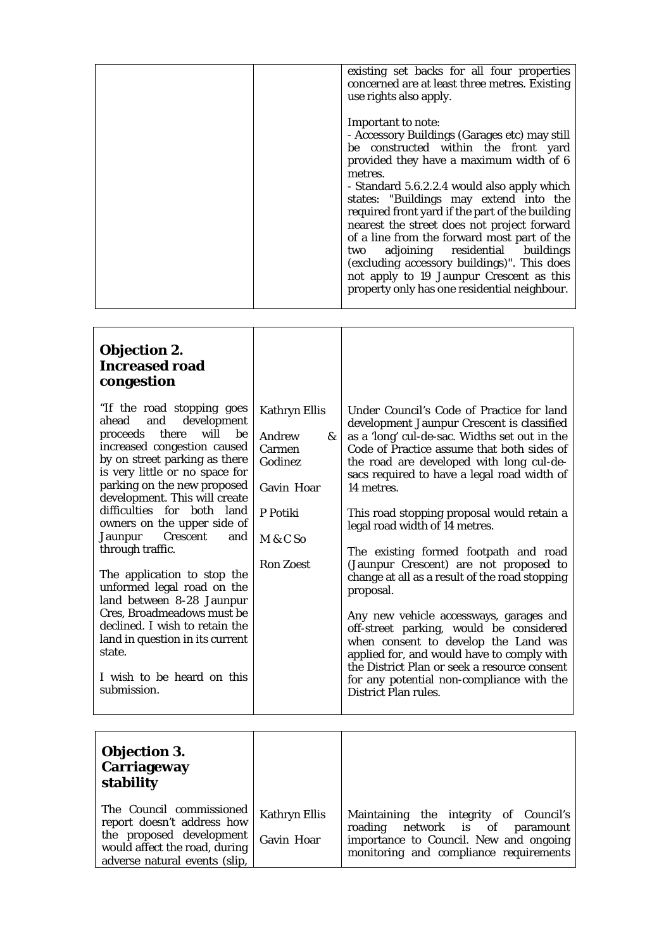| existing set backs for all four properties<br>concerned are at least three metres. Existing<br>use rights also apply.                                                                                                                                                                                                                                                                                                                                                                                                                                                                         |
|-----------------------------------------------------------------------------------------------------------------------------------------------------------------------------------------------------------------------------------------------------------------------------------------------------------------------------------------------------------------------------------------------------------------------------------------------------------------------------------------------------------------------------------------------------------------------------------------------|
| Important to note:<br>- Accessory Buildings (Garages etc) may still<br>be constructed within the front yard<br>provided they have a maximum width of 6<br>metres.<br>- Standard 5.6.2.2.4 would also apply which<br>states: "Buildings may extend into the<br>required front yard if the part of the building<br>nearest the street does not project forward<br>of a line from the forward most part of the<br>two adjoining residential buildings<br>(excluding accessory buildings)". This does<br>not apply to 19 Jaunpur Crescent as this<br>property only has one residential neighbour. |
|                                                                                                                                                                                                                                                                                                                                                                                                                                                                                                                                                                                               |

| <b>Objection 2.</b><br><b>Increased road</b><br>congestion                                                                                                                                                                                                                                                                                                                                                                                                                                                                                                                                                                        |                                                                                                                           |                                                                                                                                                                                                                                                                                                                                                                                                                                                                                                                                                                                                                                                                                                                                                                                                                                    |
|-----------------------------------------------------------------------------------------------------------------------------------------------------------------------------------------------------------------------------------------------------------------------------------------------------------------------------------------------------------------------------------------------------------------------------------------------------------------------------------------------------------------------------------------------------------------------------------------------------------------------------------|---------------------------------------------------------------------------------------------------------------------------|------------------------------------------------------------------------------------------------------------------------------------------------------------------------------------------------------------------------------------------------------------------------------------------------------------------------------------------------------------------------------------------------------------------------------------------------------------------------------------------------------------------------------------------------------------------------------------------------------------------------------------------------------------------------------------------------------------------------------------------------------------------------------------------------------------------------------------|
| "If the road stopping goes<br>development<br>and<br>ahead<br>there<br>will<br>proceeds<br>be<br>increased congestion caused<br>by on street parking as there<br>is very little or no space for<br>parking on the new proposed<br>development. This will create<br>difficulties for both land<br>owners on the upper side of<br>Crescent<br>Jaunpur<br>and<br>through traffic.<br>The application to stop the<br>unformed legal road on the<br>land between 8-28 Jaunpur<br>Cres, Broadmeadows must be<br>declined. I wish to retain the<br>land in question in its current<br>state.<br>I wish to be heard on this<br>submission. | <b>Kathryn Ellis</b><br>Andrew<br>&<br>Carmen<br>Godinez<br><b>Gavin Hoar</b><br>P Potiki<br>M & C So<br><b>Ron Zoest</b> | Under Council's Code of Practice for land<br>development Jaunpur Crescent is classified<br>as a 'long' cul-de-sac. Widths set out in the<br>Code of Practice assume that both sides of<br>the road are developed with long cul-de-<br>sacs required to have a legal road width of<br>14 metres.<br>This road stopping proposal would retain a<br>legal road width of 14 metres.<br>The existing formed footpath and road<br>(Jaunpur Crescent) are not proposed to<br>change at all as a result of the road stopping<br>proposal.<br>Any new vehicle accessways, garages and<br>off-street parking, would be considered<br>when consent to develop the Land was<br>applied for, and would have to comply with<br>the District Plan or seek a resource consent<br>for any potential non-compliance with the<br>District Plan rules. |
|                                                                                                                                                                                                                                                                                                                                                                                                                                                                                                                                                                                                                                   |                                                                                                                           |                                                                                                                                                                                                                                                                                                                                                                                                                                                                                                                                                                                                                                                                                                                                                                                                                                    |

| <b>Objection 3.</b><br><b>Carriageway</b><br>stability                                                                                               |                                    |                                                                                                                                                               |
|------------------------------------------------------------------------------------------------------------------------------------------------------|------------------------------------|---------------------------------------------------------------------------------------------------------------------------------------------------------------|
| The Council commissioned<br>report doesn't address how<br>the proposed development<br>would affect the road, during<br>adverse natural events (slip, | <b>Kathryn Ellis</b><br>Gavin Hoar | Maintaining the integrity of Council's<br>roading network is of paramount<br>importance to Council. New and ongoing<br>monitoring and compliance requirements |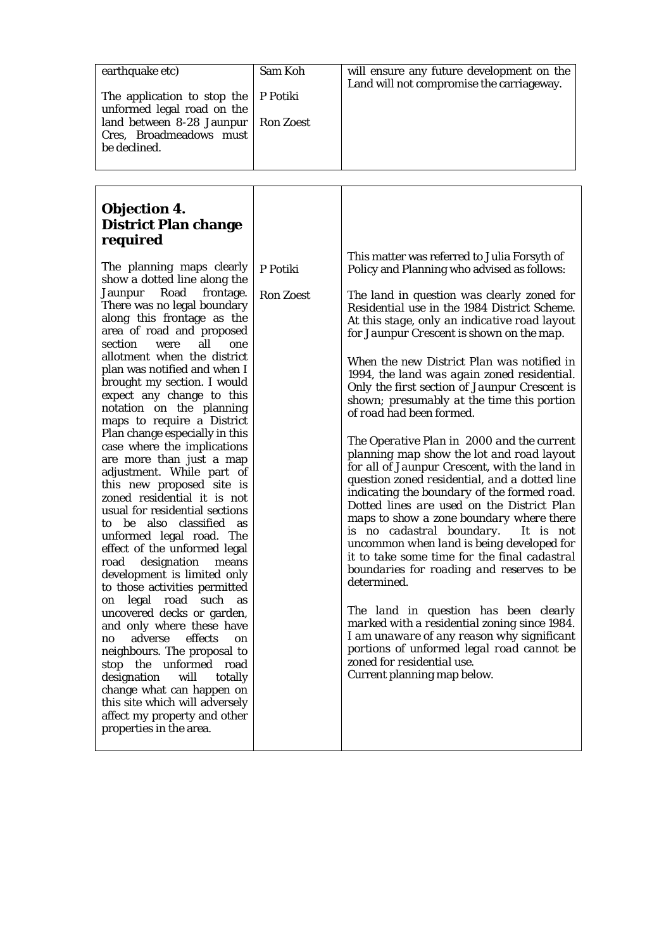| earthquake etc)<br>The application to stop the<br>unformed legal road on the<br>land between 8-28 Jaunpur<br>Cres, Broadmeadows must<br>be declined.                                                                                                                                                                                                                                                                                                                                                                                                                                                                                                                                                                                                                                                                                                                                                                                                                                                                                                                                                                                                                                                                                            | Sam Koh<br>P Potiki<br><b>Ron Zoest</b> | will ensure any future development on the<br>Land will not compromise the carriageway.                                                                                                                                                                                                                                                                                                                                                                                                                                                                                                                                                                                                                                                                                                                                                                                                                                                                                                                                                                                                                                                                                                                                                                                                                    |
|-------------------------------------------------------------------------------------------------------------------------------------------------------------------------------------------------------------------------------------------------------------------------------------------------------------------------------------------------------------------------------------------------------------------------------------------------------------------------------------------------------------------------------------------------------------------------------------------------------------------------------------------------------------------------------------------------------------------------------------------------------------------------------------------------------------------------------------------------------------------------------------------------------------------------------------------------------------------------------------------------------------------------------------------------------------------------------------------------------------------------------------------------------------------------------------------------------------------------------------------------|-----------------------------------------|-----------------------------------------------------------------------------------------------------------------------------------------------------------------------------------------------------------------------------------------------------------------------------------------------------------------------------------------------------------------------------------------------------------------------------------------------------------------------------------------------------------------------------------------------------------------------------------------------------------------------------------------------------------------------------------------------------------------------------------------------------------------------------------------------------------------------------------------------------------------------------------------------------------------------------------------------------------------------------------------------------------------------------------------------------------------------------------------------------------------------------------------------------------------------------------------------------------------------------------------------------------------------------------------------------------|
| <b>Objection 4.</b><br><b>District Plan change</b><br>required<br>The planning maps clearly<br>show a dotted line along the<br>Road<br>frontage.<br>Jaunpur<br>There was no legal boundary<br>along this frontage as the<br>area of road and proposed<br>section<br>all<br>were<br>one<br>allotment when the district<br>plan was notified and when I<br>brought my section. I would<br>expect any change to this<br>notation on the planning<br>maps to require a District<br>Plan change especially in this<br>case where the implications<br>are more than just a map<br>adjustment. While part of<br>this new proposed site is<br>zoned residential it is not<br>usual for residential sections<br>to be also classified<br>as<br>unformed legal road. The<br>effect of the unformed legal<br>road<br>designation<br>means<br>development is limited only<br>to those activities permitted<br>legal road such<br>as<br>on<br>uncovered decks or garden,<br>and only where these have<br>effects<br>adverse<br>no<br>on<br>neighbours. The proposal to<br>stop the unformed road<br>will<br>designation<br>totally<br>change what can happen on<br>this site which will adversely<br>affect my property and other<br>properties in the area. | P Potiki<br><b>Ron Zoest</b>            | This matter was referred to Julia Forsyth of<br>Policy and Planning who advised as follows:<br>The land in question was clearly zoned for<br>Residential use in the 1984 District Scheme.<br>At this stage, only an indicative road layout<br>for Jaunpur Crescent is shown on the map.<br>When the new District Plan was notified in<br>1994, the land was again zoned residential.<br>Only the first section of Jaunpur Crescent is<br>shown; presumably at the time this portion<br>of road had been formed.<br>The Operative Plan in 2000 and the current<br>planning map show the lot and road layout<br>for all of Jaunpur Crescent, with the land in<br>question zoned residential, and a dotted line<br>indicating the boundary of the formed road.<br>Dotted lines are used on the District Plan<br>maps to show a zone boundary where there<br>is no cadastral boundary.<br>It is not<br>uncommon when land is being developed for<br>it to take some time for the final cadastral<br>boundaries for roading and reserves to be<br>determined.<br>The land in question has been clearly<br>marked with a residential zoning since 1984.<br>I am unaware of any reason why significant<br>portions of unformed legal road cannot be<br>zoned for residential use.<br>Current planning map below. |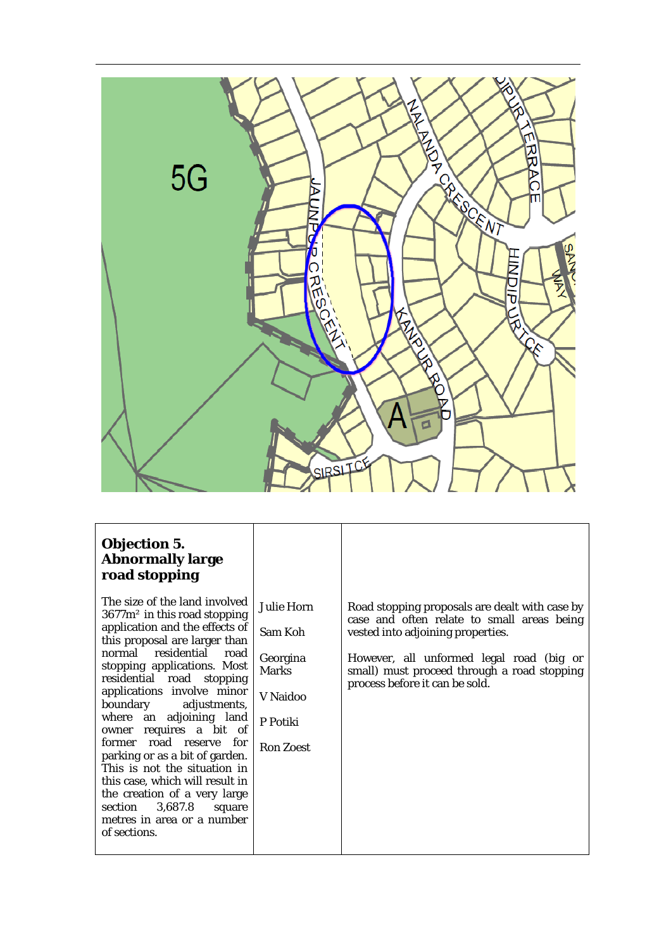

## **Objection 5. Abnormally large road stopping**

The size of the land involved 3677m² in this road stopping application and the effects of this proposal are larger than normal residential road stopping applications. Most residential road stopping applications involve minor boundary adjustments, where an adjoining land owner requires a bit of former road reserve for parking or as a bit of garden. This is not the situation in this case, which will result in the creation of a very large<br>section 3,687.8 square  $3,687.8$  square metres in area or a number of sections.

| Julie Horn<br>Sam Koh                | Road stopping proposals are dealt with case by<br>case and often relate to small areas being<br>vested into adjoining properties. |
|--------------------------------------|-----------------------------------------------------------------------------------------------------------------------------------|
| Georgina<br><b>Marks</b><br>V Naidoo | However, all unformed legal road (big or<br>small) must proceed through a road stopping<br>process before it can be sold.         |
| P Potiki                             |                                                                                                                                   |
| <b>Ron Zoest</b>                     |                                                                                                                                   |
|                                      |                                                                                                                                   |
|                                      |                                                                                                                                   |
|                                      |                                                                                                                                   |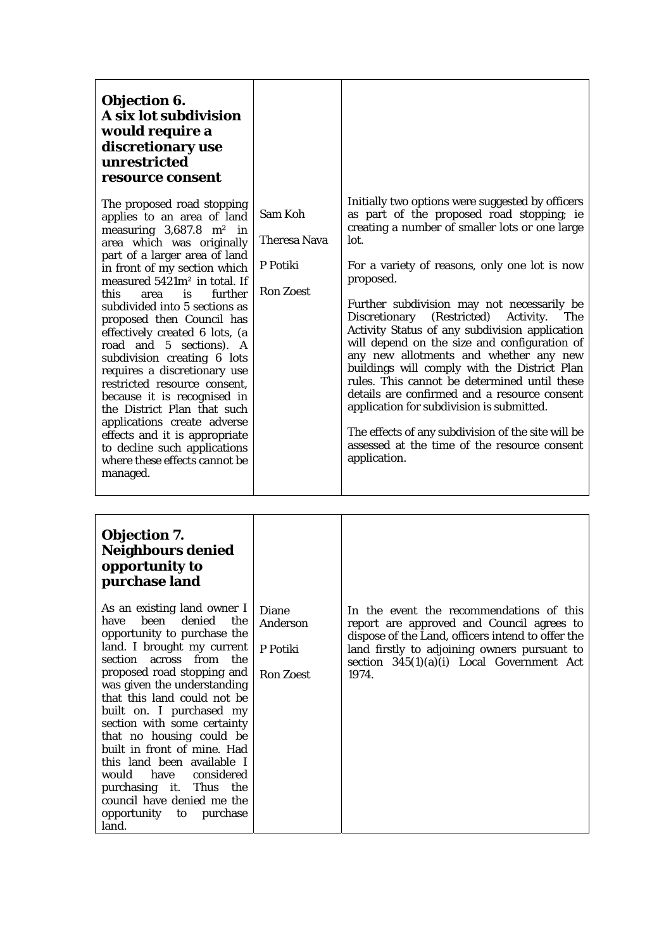## **Objection 6. A six lot subdivisio would require a discretionary use unrestricted resource consent**

The proposed road stoppi applies to an area of  $\overline{\mathbf{a}}$ measuring  $3,687.8$  m<sup>2</sup> area which was originally part of a larger area of la  $\overline{\text{in}}$  front of my section wh measured  $5421m^2$  in total this area is furt subdivided into 5 sections proposed then Council effectively created 6 lots, road and 5 sections). subdivision creating 6 requires a discretionary restricted resource conse because it is recognised the District Plan that su applications create adve effects and it is appropri to decline such application where these effects cannot managed.

| m                                                                                                                                                           |                                                         |                                                                                                                                                                                                                                                                                                                                                                                                                                                                                                                                                                                                                                                                                                                                                                                         |
|-------------------------------------------------------------------------------------------------------------------------------------------------------------|---------------------------------------------------------|-----------------------------------------------------------------------------------------------------------------------------------------------------------------------------------------------------------------------------------------------------------------------------------------------------------------------------------------------------------------------------------------------------------------------------------------------------------------------------------------------------------------------------------------------------------------------------------------------------------------------------------------------------------------------------------------------------------------------------------------------------------------------------------------|
| oing<br>and<br>in<br>ally<br>and<br>nich<br>l. If<br>ther<br>s as<br>has<br>, (a<br>A<br>lots<br>use<br>ent,<br>l in<br>uch<br>erse<br>iate<br>ions<br>t be | Sam Koh<br>Theresa Nava<br>P Potiki<br><b>Ron Zoest</b> | Initially two options were suggested by officers<br>as part of the proposed road stopping; ie<br>creating a number of smaller lots or one large<br>lot.<br>For a variety of reasons, only one lot is now<br>proposed.<br>Further subdivision may not necessarily be<br>Discretionary<br>(Restricted)<br>Activity.<br>The<br>Activity Status of any subdivision application<br>will depend on the size and configuration of<br>any new allotments and whether any new<br>buildings will comply with the District Plan<br>rules. This cannot be determined until these<br>details are confirmed and a resource consent<br>application for subdivision is submitted.<br>The effects of any subdivision of the site will be<br>assessed at the time of the resource consent<br>application. |

| <b>Objection 7.</b><br><b>Neighbours denied</b><br>opportunity to<br>purchase land<br>As an existing land owner I<br>denied the<br>heen<br>have<br>opportunity to purchase the<br>land. I brought my current<br>section across from the<br>proposed road stopping and<br>was given the understanding<br>that this land could not be<br>built on. I purchased my<br>section with some certainty | <b>Diane</b><br>Anderson<br>P Potiki<br><b>Ron Zoest</b> | In the event the recommendations of this<br>report are approved and Council agrees to<br>dispose of the Land, officers intend to offer the<br>land firstly to adjoining owners pursuant to<br>section $345(1)(a)(i)$ Local Government Act<br>1974. |
|------------------------------------------------------------------------------------------------------------------------------------------------------------------------------------------------------------------------------------------------------------------------------------------------------------------------------------------------------------------------------------------------|----------------------------------------------------------|----------------------------------------------------------------------------------------------------------------------------------------------------------------------------------------------------------------------------------------------------|
|                                                                                                                                                                                                                                                                                                                                                                                                |                                                          |                                                                                                                                                                                                                                                    |
| that no housing could be<br>built in front of mine. Had                                                                                                                                                                                                                                                                                                                                        |                                                          |                                                                                                                                                                                                                                                    |
| this land been available I                                                                                                                                                                                                                                                                                                                                                                     |                                                          |                                                                                                                                                                                                                                                    |
| considered<br>would have                                                                                                                                                                                                                                                                                                                                                                       |                                                          |                                                                                                                                                                                                                                                    |
| purchasing it. Thus the                                                                                                                                                                                                                                                                                                                                                                        |                                                          |                                                                                                                                                                                                                                                    |
| council have denied me the                                                                                                                                                                                                                                                                                                                                                                     |                                                          |                                                                                                                                                                                                                                                    |
| opportunity to<br>purchase<br>land.                                                                                                                                                                                                                                                                                                                                                            |                                                          |                                                                                                                                                                                                                                                    |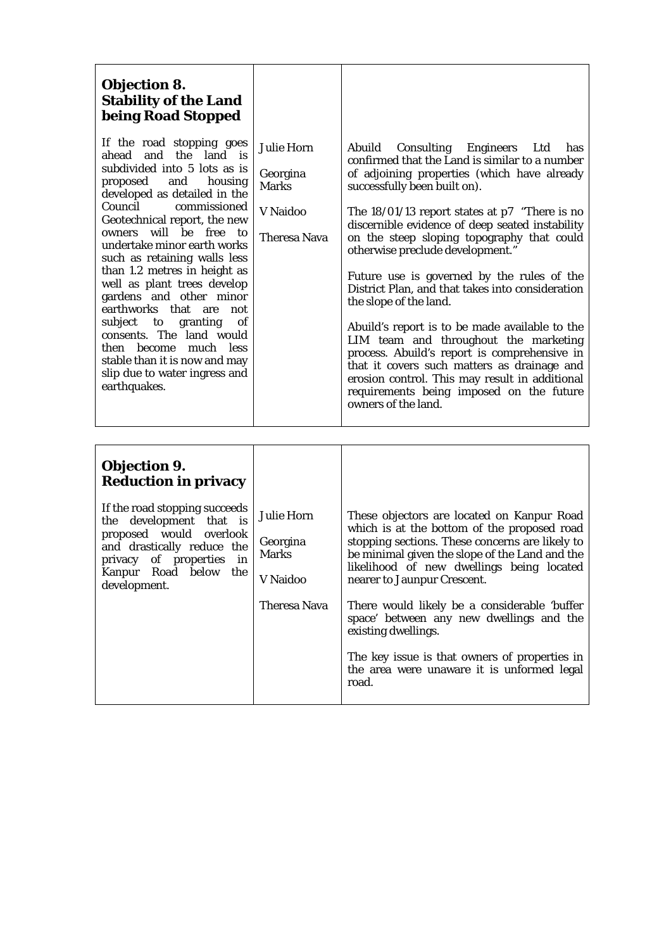## **Objection 8. Stability of the Land being Road Stopped**

If the  $r$ ahead subdivide proposed and housing developed as detailed in the Council Geotechn owners undertak such as than  $1.2$ well as gardens and other minor earthworks that are not subject to granting of consents. The land would then become much less stable than it is now and may slip due to water ingress and earthquakes.

| Road Stopped                                                                                                                                                                                                                                                                                                                                                                                                                                     |                                                                                  |                                                                                                                                                                                                                                                                                                                                                                                                                                                                                                                                                                                                                                                                                                                                                                                                            |
|--------------------------------------------------------------------------------------------------------------------------------------------------------------------------------------------------------------------------------------------------------------------------------------------------------------------------------------------------------------------------------------------------------------------------------------------------|----------------------------------------------------------------------------------|------------------------------------------------------------------------------------------------------------------------------------------------------------------------------------------------------------------------------------------------------------------------------------------------------------------------------------------------------------------------------------------------------------------------------------------------------------------------------------------------------------------------------------------------------------------------------------------------------------------------------------------------------------------------------------------------------------------------------------------------------------------------------------------------------------|
| road stopping goes<br>and the land is<br>ed into 5 lots as is<br>and<br>housing<br>$\mathbf{1}$<br>d as detailed in the<br>commissioned<br>nical report, the new<br>will be free to<br>ke minor earth works<br>retaining walls less<br>metres in height as<br>plant trees develop<br>and other minor<br>rks that are<br>not<br>of<br>to granting<br>. The land would<br>ecome much less<br>an it is now and may<br>to water ingress and<br>ıkes. | <b>Julie Horn</b><br>Georgina<br><b>Marks</b><br>V Naidoo<br><b>Theresa Nava</b> | Consulting Engineers Ltd has<br>Abuild<br>confirmed that the Land is similar to a number<br>of adjoining properties (which have already<br>successfully been built on).<br>The $18/01/13$ report states at p7 "There is no<br>discernible evidence of deep seated instability<br>on the steep sloping topography that could<br>otherwise preclude development."<br>Future use is governed by the rules of the<br>District Plan, and that takes into consideration<br>the slope of the land.<br>Abuild's report is to be made available to the<br>LIM team and throughout the marketing<br>process. Abuild's report is comprehensive in<br>that it covers such matters as drainage and<br>erosion control. This may result in additional<br>requirements being imposed on the future<br>owners of the land. |

| <b>Objection 9.</b><br><b>Reduction in privacy</b><br>If the road stopping succeeds<br>the development that is<br>proposed would overlook<br>and drastically reduce the<br>privacy of properties in<br>Kanpur Road below the<br>development. | <b>Julie Horn</b><br>Georgina<br><b>Marks</b><br>V Naidoo | These objectors are located on Kanpur Road<br>which is at the bottom of the proposed road<br>stopping sections. These concerns are likely to<br>be minimal given the slope of the Land and the<br>likelihood of new dwellings being located<br>nearer to Jaunpur Crescent. |
|----------------------------------------------------------------------------------------------------------------------------------------------------------------------------------------------------------------------------------------------|-----------------------------------------------------------|----------------------------------------------------------------------------------------------------------------------------------------------------------------------------------------------------------------------------------------------------------------------------|
|                                                                                                                                                                                                                                              | Theresa Nava                                              | There would likely be a considerable 'buffer<br>space' between any new dwellings and the<br>existing dwellings.                                                                                                                                                            |
|                                                                                                                                                                                                                                              |                                                           | The key issue is that owners of properties in<br>the area were unaware it is unformed legal<br>road.                                                                                                                                                                       |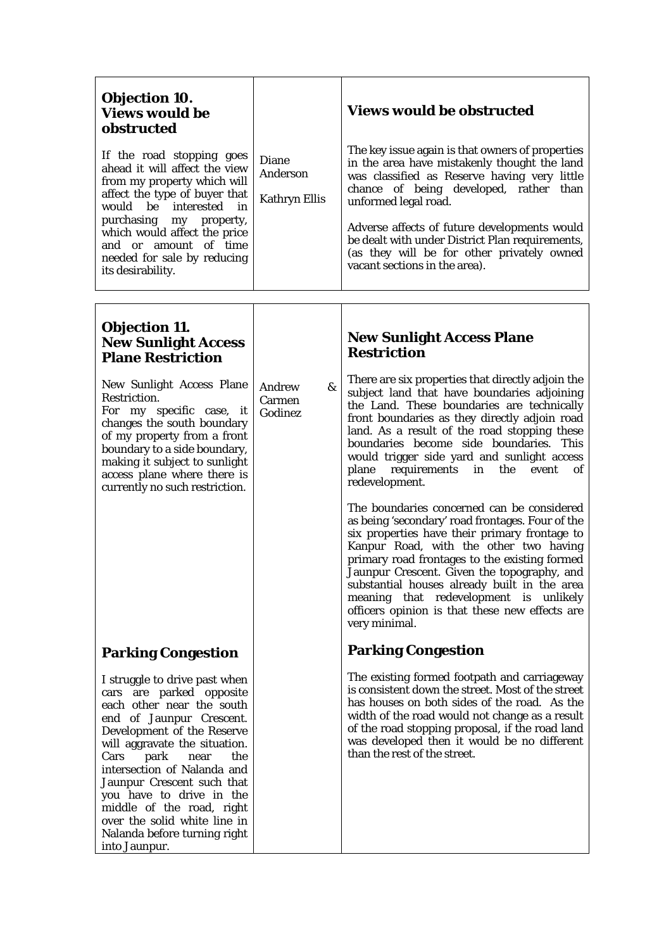| <b>Diane</b><br>Anderson<br><b>Kathryn Ellis</b> | <b>Views would be obstructed</b><br>The key issue again is that owners of properties<br>in the area have mistakenly thought the land<br>was classified as Reserve having very little<br>chance of being developed, rather than<br>unformed legal road.                                                                                                                                                                                                 |
|--------------------------------------------------|--------------------------------------------------------------------------------------------------------------------------------------------------------------------------------------------------------------------------------------------------------------------------------------------------------------------------------------------------------------------------------------------------------------------------------------------------------|
|                                                  | Adverse affects of future developments would<br>be dealt with under District Plan requirements,<br>(as they will be for other privately owned<br>vacant sections in the area).                                                                                                                                                                                                                                                                         |
|                                                  |                                                                                                                                                                                                                                                                                                                                                                                                                                                        |
|                                                  | <b>New Sunlight Access Plane</b><br><b>Restriction</b>                                                                                                                                                                                                                                                                                                                                                                                                 |
| &<br>Andrew<br>Carmen<br>Godinez                 | There are six properties that directly adjoin the<br>subject land that have boundaries adjoining<br>the Land. These boundaries are technically<br>front boundaries as they directly adjoin road<br>land. As a result of the road stopping these<br>boundaries become side boundaries. This<br>would trigger side yard and sunlight access<br>plane requirements<br>in<br>the<br>of<br>event<br>redevelopment.                                          |
|                                                  | The boundaries concerned can be considered<br>as being 'secondary' road frontages. Four of the<br>six properties have their primary frontage to<br>Kanpur Road, with the other two having<br>primary road frontages to the existing formed<br>Jaunpur Crescent. Given the topography, and<br>substantial houses already built in the area<br>meaning that redevelopment is unlikely<br>officers opinion is that these new effects are<br>very minimal. |
|                                                  | <b>Parking Congestion</b>                                                                                                                                                                                                                                                                                                                                                                                                                              |
|                                                  | The existing formed footpath and carriageway<br>is consistent down the street. Most of the street<br>has houses on both sides of the road. As the<br>width of the road would not change as a result<br>of the road stopping proposal, if the road land<br>was developed then it would be no different<br>than the rest of the street.                                                                                                                  |
|                                                  |                                                                                                                                                                                                                                                                                                                                                                                                                                                        |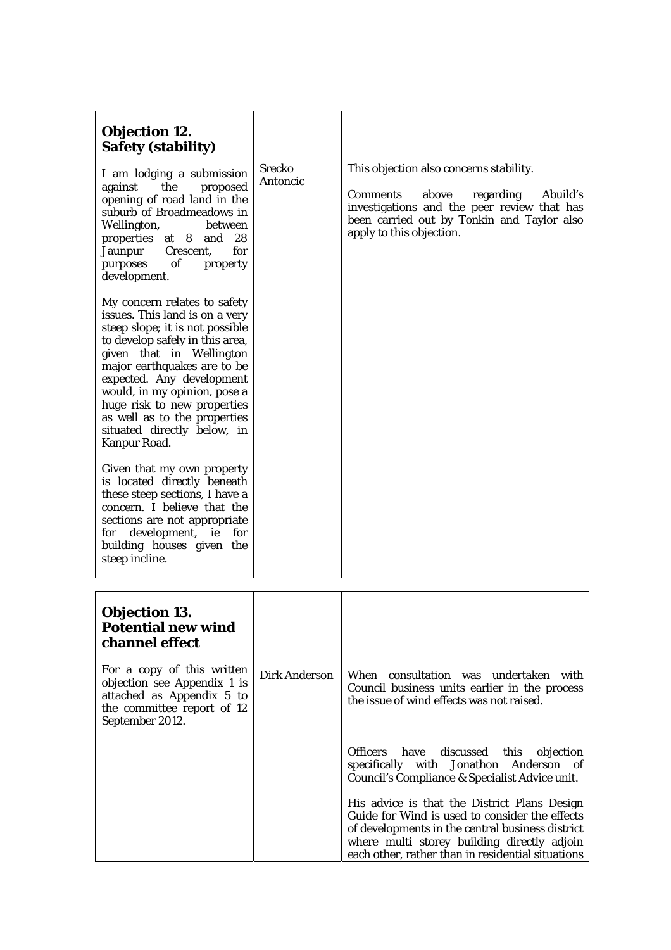| <b>Objection 12.</b><br><b>Safety (stability)</b>                                                                                                                                                                                                                                                                                                                          | <b>Srecko</b>        | This objection also concerns stability.                                                                                                                                                                                                                |
|----------------------------------------------------------------------------------------------------------------------------------------------------------------------------------------------------------------------------------------------------------------------------------------------------------------------------------------------------------------------------|----------------------|--------------------------------------------------------------------------------------------------------------------------------------------------------------------------------------------------------------------------------------------------------|
| I am lodging a submission<br>the<br>against<br>proposed<br>opening of road land in the<br>suburb of Broadmeadows in<br>Wellington,<br>between<br>properties at 8<br>and $28$<br>Crescent,<br>for<br>Jaunpur<br>of<br>purposes<br>property<br>development.                                                                                                                  | Antoncic             | <b>Comments</b><br>above<br>regarding<br>Abuild's<br>investigations and the peer review that has<br>been carried out by Tonkin and Taylor also<br>apply to this objection.                                                                             |
| My concern relates to safety<br>issues. This land is on a very<br>steep slope; it is not possible<br>to develop safely in this area,<br>given that in Wellington<br>major earthquakes are to be<br>expected. Any development<br>would, in my opinion, pose a<br>huge risk to new properties<br>as well as to the properties<br>situated directly below, in<br>Kanpur Road. |                      |                                                                                                                                                                                                                                                        |
| Given that my own property<br>is located directly beneath<br>these steep sections, I have a<br>concern. I believe that the<br>sections are not appropriate<br>for development, ie<br>for<br>building houses given the<br>steep incline.                                                                                                                                    |                      |                                                                                                                                                                                                                                                        |
|                                                                                                                                                                                                                                                                                                                                                                            |                      |                                                                                                                                                                                                                                                        |
| <b>Objection 13.</b><br><b>Potential new wind</b><br>channel effect                                                                                                                                                                                                                                                                                                        |                      |                                                                                                                                                                                                                                                        |
| For a copy of this written<br>objection see Appendix 1 is<br>attached as Appendix 5 to<br>the committee report of 12<br>September 2012.                                                                                                                                                                                                                                    | <b>Dirk Anderson</b> | When consultation was undertaken with<br>Council business units earlier in the process<br>the issue of wind effects was not raised.                                                                                                                    |
|                                                                                                                                                                                                                                                                                                                                                                            |                      | <b>Officers</b><br>have<br>discussed<br>this<br>objection<br>specifically with Jonathon Anderson of<br>Council's Compliance & Specialist Advice unit.                                                                                                  |
|                                                                                                                                                                                                                                                                                                                                                                            |                      | His advice is that the District Plans Design<br>Guide for Wind is used to consider the effects<br>of developments in the central business district<br>where multi storey building directly adjoin<br>each other, rather than in residential situations |